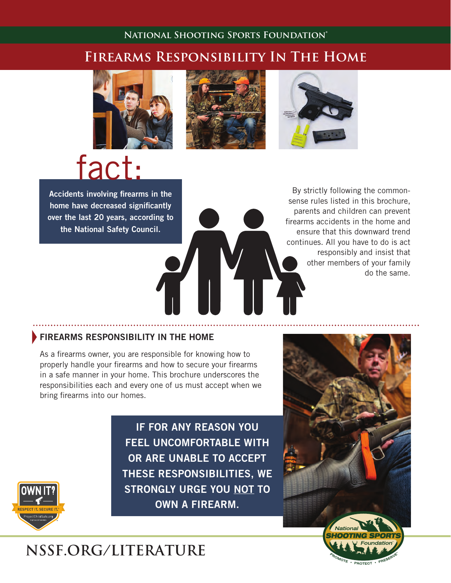# **National Shooting Sports Foundation®**

# **Firearms Responsibility In The Home**









Accidents involving firearms in the home have decreased significantly over the last 20 years, according to the National Safety Council.

By strictly following the commonsense rules listed in this brochure, parents and children can prevent firearms accidents in the home and ensure that this downward trend continues. All you have to do is act responsibly and insist that other members of your family do the same.

### **FIREARMS RESPONSIBILITY IN THE HOME**

As a firearms owner, you are responsible for knowing how to properly handle your firearms and how to secure your firearms in a safe manner in your home. This brochure underscores the responsibilities each and every one of us must accept when we bring firearms into our homes.



IF FOR ANY REASON YOU FEEL UNCOMFORTABLE WITH OR ARE UNABLE TO ACCEPT THESE RESPONSIBILITIES, WE STRONGLY URGE YOU NOT TO OWN A FIREARM.



# **NSSF.ORG/LITERATURE**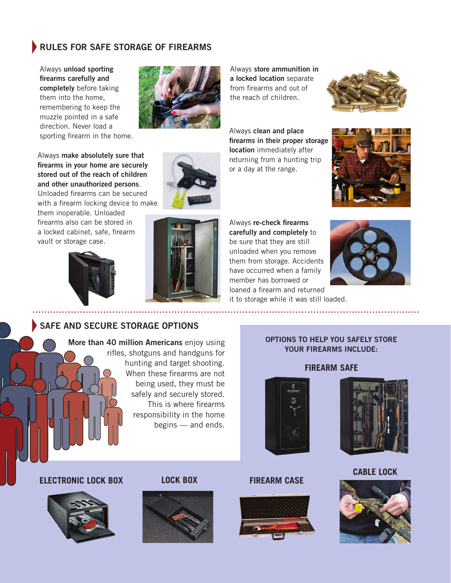# RULES FOR SAFE STORAGE OF FIREARMS

Always unload sporting firearms carefully and completely before taking them into the home, remembering to keep the muzzle pointed in a safe direction. Never load a sporting firearm in the home.

Always store ammunition in a locked location separate from firearms and out of the reach of children.



Always clean and place firearms in their proper storage location immediately after returning from a hunting trip or a day at the range.





Always make absolutely sure that firearms in your home are securely stored out of the reach of children and other unauthorized persons. Unloaded firearms can be secured with a firearm locking device to make

them inoperable. Unloaded firearms also can be stored in a locked cabinet, safe, firearm vault or storage case.





Always re-check firearms carefully and completely to be sure that they are still unloaded when you remove them from storage. Accidents have occurred when a family member has borrowed or loaned a firearm and returned it to storage while it was still loaded.



# SAFE AND SECURE STORAGE OPTIONS

More than 40 million Americans enjoy using rifles, shotguns and handguns for hunting and target shooting. When these firearms are not being used, they must be safely and securely stored. This is where firearms responsibility in the home begins — and ends.

#### OPTIONS TO HELP YOU SAFELY STORE YOUR FIREARMS INCLUDE:

#### **FIREARM SAFE**





**CABLE LOCK**



**ELECTRONIC LOCK BOX LOCK BOX FIREARM CASE**





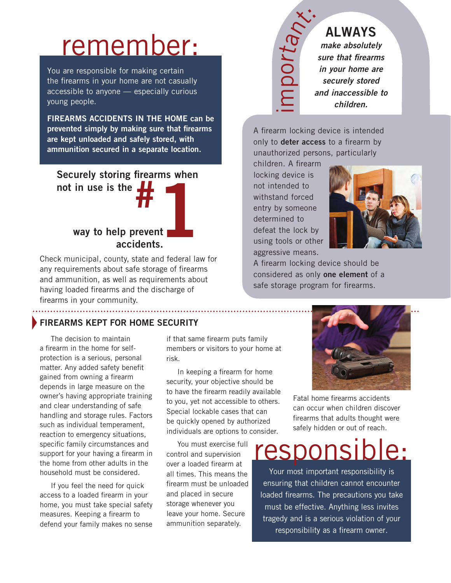# remember:

You are responsible for making certain the firearms in your home are not casually accessible to anyone — especially curious young people.

FIREARMS ACCIDENTS IN THE HOME can be prevented simply by making sure that firearms are kept unloaded and safely stored, with ammunition secured in a separate location.

# Securely storing firearms when



Check municipal, county, state and federal law for any requirements about safe storage of firearms and ammunition, as well as requirements about having loaded firearms and the discharge of firearms in your community.

# FIREARMS KEPT FOR HOME SECURITY

The decision to maintain a firearm in the home for selfprotection is a serious, personal matter. Any added safety benefit gained from owning a firearm depends in large measure on the owner's having appropriate training and clear understanding of safe handling and storage rules. Factors such as individual temperament, reaction to emergency situations, specific family circumstances and support for your having a firearm in the home from other adults in the household must be considered.

If you feel the need for quick access to a loaded firearm in your home, you must take special safety measures. Keeping a firearm to defend your family makes no sense

if that same firearm puts family members or visitors to your home at risk.

In keeping a firearm for home security, your objective should be to have the firearm readily available to you, yet not accessible to others. Special lockable cases that can be quickly opened by authorized individuals are options to consider.

You must exercise full control and supervision over a loaded firearm at all times. This means the firearm must be unloaded and placed in secure storage whenever you leave your home. Secure ammunition separately.

# rta<sub>nx</sub> ALWAYS *make absolutely sure that firearms in your home are securely stored and inaccessible to children.*

A firearm locking device is intended only to **deter access** to a firearm by unauthorized persons, particularly

children. A firearm locking device is not intended to withstand forced entry by someone determined to defeat the lock by using tools or other aggressive means.

<u>im</u>

 $\Omega$ o



A firearm locking device should be considered as only one element of a safe storage program for firearms.



Fatal home firearms accidents can occur when children discover firearms that adults thought were safely hidden or out of reach.

responsible:

Your most important responsibility is ensuring that children cannot encounter loaded firearms. The precautions you take must be effective. Anything less invites tragedy and is a serious violation of your responsibility as a firearm owner.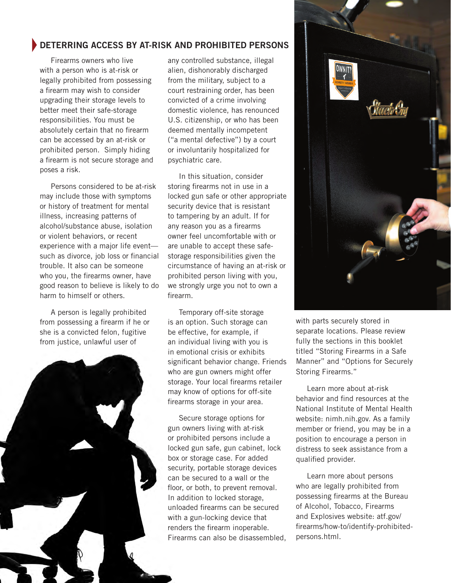# DETERRING ACCESS BY AT-RISK AND PROHIBITED PERSONS

Firearms owners who live with a person who is at-risk or legally prohibited from possessing a firearm may wish to consider upgrading their storage levels to better meet their safe-storage responsibilities. You must be absolutely certain that no firearm can be accessed by an at-risk or prohibited person. Simply hiding a firearm is not secure storage and poses a risk.

Persons considered to be at-risk may include those with symptoms or history of treatment for mental illness, increasing patterns of alcohol/substance abuse, isolation or violent behaviors, or recent experience with a major life event such as divorce, job loss or financial trouble. It also can be someone who you, the firearms owner, have good reason to believe is likely to do harm to himself or others.

A person is legally prohibited from possessing a firearm if he or she is a convicted felon, fugitive from justice, unlawful user of



any controlled substance, illegal alien, dishonorably discharged from the military, subject to a court restraining order, has been convicted of a crime involving domestic violence, has renounced U.S. citizenship, or who has been deemed mentally incompetent ("a mental defective") by a court or involuntarily hospitalized for psychiatric care.

In this situation, consider storing firearms not in use in a locked gun safe or other appropriate security device that is resistant to tampering by an adult. If for any reason you as a firearms owner feel uncomfortable with or are unable to accept these safestorage responsibilities given the circumstance of having an at-risk or prohibited person living with you, we strongly urge you not to own a firearm.

Temporary off-site storage is an option. Such storage can be effective, for example, if an individual living with you is in emotional crisis or exhibits significant behavior change. Friends who are gun owners might offer storage. Your local firearms retailer may know of options for off-site firearms storage in your area.

Secure storage options for gun owners living with at-risk or prohibited persons include a locked gun safe, gun cabinet, lock box or storage case. For added security, portable storage devices can be secured to a wall or the floor, or both, to prevent removal. In addition to locked storage, unloaded firearms can be secured with a gun-locking device that renders the firearm inoperable. Firearms can also be disassembled,



with parts securely stored in separate locations. Please review fully the sections in this booklet titled "Storing Firearms in a Safe Manner" and "Options for Securely Storing Firearms."

Learn more about at-risk behavior and find resources at the National Institute of Mental Health website: nimh.nih.gov. As a family member or friend, you may be in a position to encourage a person in distress to seek assistance from a qualified provider.

Learn more about persons who are legally prohibited from possessing firearms at the Bureau of Alcohol, Tobacco, Firearms and Explosives website: atf.gov/ firearms/how-to/identify-prohibitedpersons.html.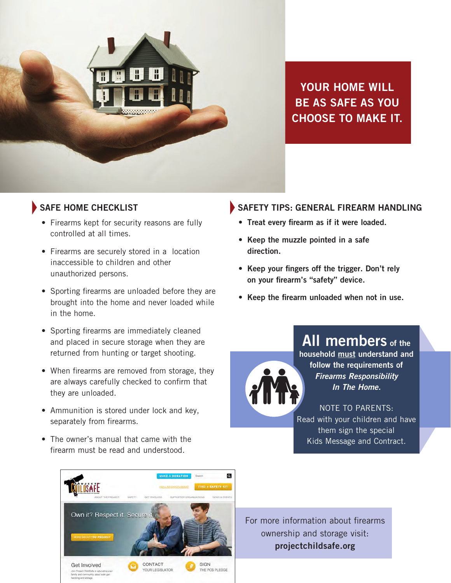

YOUR HOME WILL BE AS SAFE AS YOU CHOOSE TO MAKE IT.

- Firearms kept for security reasons are fully controlled at all times.
- Firearms are securely stored in a location inaccessible to children and other unauthorized persons.
- Sporting firearms are unloaded before they are brought into the home and never loaded while in the home.
- • Sporting firearms are immediately cleaned and placed in secure storage when they are returned from hunting or target shooting.
- When firearms are removed from storage, they are always carefully checked to confirm that they are unloaded.
- Ammunition is stored under lock and key, separately from firearms.
- The owner's manual that came with the firearm must be read and understood.

# SAFE HOME CHECKLIST SAFETY TIPS: GENERAL FIREARM HANDLING

- • Treat every firearm as if it were loaded.
- Keep the muzzle pointed in a safe direction.
- Keep your fingers off the trigger. Don't rely on your firearm's "safety" device.
- Keep the firearm unloaded when not in use.

All members of the household must understand and follow the requirements of *Firearms Responsibility In The Home.*

NOTE TO PARENTS: Read with your children and have them sign the special Kids Message and Contract.



For more information about firearms ownership and storage visit: projectchildsafe.org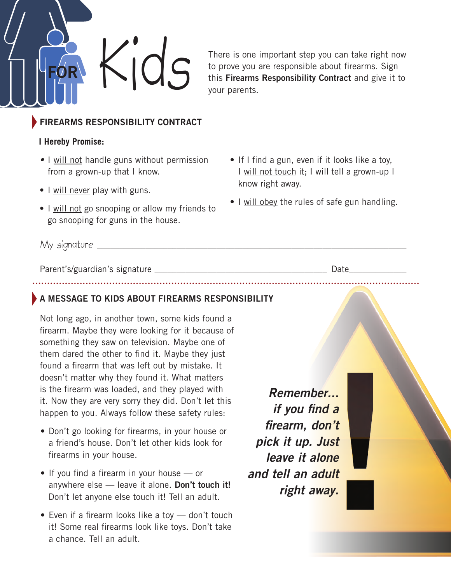

There is one important step you can take right now to prove you are responsible about firearms. Sign this Firearms Responsibility Contract and give it to your parents.

# **FIREARMS RESPONSIBILITY CONTRACT**

# **I Hereby Promise:**

- I will not handle guns without permission from a grown-up that I know.
- I will never play with guns.
- I will not go snooping or allow my friends to go snooping for guns in the house.
- If I find a gun, even if it looks like a toy, I will not touch it; I will tell a grown-up I know right away.
- I will obey the rules of safe gun handling.

My signature \_\_\_\_\_\_\_\_\_\_\_\_\_\_\_\_\_\_\_\_\_\_\_\_\_\_\_\_\_\_\_\_\_\_\_\_\_\_\_\_\_\_\_\_\_\_\_\_\_\_\_\_\_\_\_\_\_\_\_\_\_\_\_\_\_\_\_\_\_\_

Parent's/guardian's signature extendion to the part of the Date of Date of the Date of the Date of the Date of the  $\alpha$ 

# A MESSAGE TO KIDS ABOUT FIREARMS RESPONSIBILITY

Not long ago, in another town, some kids found a firearm. Maybe they were looking for it because of something they saw on television. Maybe one of them dared the other to find it. Maybe they just found a firearm that was left out by mistake. It doesn't matter why they found it. What matters is the firearm was loaded, and they played with it. Now they are very sorry they did. Don't let this happen to you. Always follow these safety rules:

- Don't go looking for firearms, in your house or a friend's house. Don't let other kids look for firearms in your house.
- If you find a firearm in your house or anywhere else  $-$  leave it alone. Don't touch it! Don't let anyone else touch it! Tell an adult.
- Even if a firearm looks like a toy don't touch it! Some real firearms look like toys. Don't take a chance. Tell an adult.

*Remember... if you find a firearm, don't pick it up. Just leave it alone and tell an adult right away.*